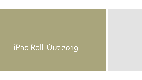# iPad Roll-Out 2019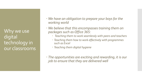Why we use digital technology in our classrooms

- *We have an obligation to prepare your boys for the working world*
- *We believe that this encompasses training them on packages such as Office 365:*
	- *Teaching them to work seamlessly with peers and teachers*
	- *Teaching them how to work effectively with programmes such as Excel*
	- *Teaching them digital hygiene*
- *The opportunities are exciting and rewarding, it is our job to ensure that they are delivered well*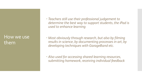#### How we use them

- *Teachers still use their professional judgement to determine the best way to support students, the iPad is used to enhance learning*
- *Most obviously through research, but also by filming results in science, by documenting processes in art, by developing techniques with GarageBand etc.*
- *Also used for accessing shared learning resources, submitting homework, receiving individual feedback*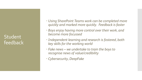**Student** feedback

- *Using SharePoint Teams work can be completed more quickly and marked more quickly. Feedback is faster*
- *Boys enjoy having more control over their work, and become more focussed*
- *Independent learning and research is fostered, both key skills for the working world*
- *Fake news – we undertake to train the boys to recognise news of value/credibility*
- *Cybersecurity, DeepFake*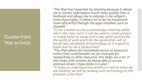### Quotes from Year 10 boys

- *"The iPad has impacted my learning because it allows me to access information much more quickly than a textbook and allows me to indulge in my subjects more thoroughly. It allows me to do my homework more efficiently through the apps installed, such as showbie."*
- *"It has enabled access to knowledge instantly whilst still in the class room. it can be used to create posters or simply write an essay and is also great practise for the world of work which for this generation will no doubt rely completely on technology so it is good to know how to use it productively"*
- *"The iPad allows for immediate access to resources online that could benefit me, for example for researching or other resources, this helps me a lot. It also helps with revision by being able to access previous lesson I have done in a year."*
	- *"It helps us understand the world as it will be when we are working, we will be working with technology so this prepares us for that."*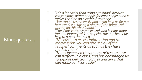#### More quotes…

 *"It's a lot easier than using a textbook because you can have different apps for each subject and it makes the iPad an electronic textbook."*

 *"We can be tested easily and it can help us for our homework e.g. taking a photo of the homework written on the white board."*

 *"The iPads certainly make work and lessons more fun and interactive. It also helps the teacher issue help to pupils that need it."*

 *"It's easier to access information and to receive work. you can also see all of the teacher" comments as soon as they have marked them"*

 *"It has increased the amount of research we can perform in a class, and has encouraged us to explore new technologies and apps that can make our lives easier"*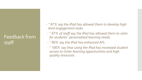### Feedback from staff

- *\* 97% say the iPad has allowed them to develop high level engagement tasks.*
- *\* 97% of staff say the iPad has allowed them to cater for students' personalised learning needs.*
- *\* 90% say the iPad has enhanced AFL.*
- *\* 100% say that using the iPad has increased student access to richer learning opportunities and high quality resources.*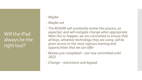Will the iPad always be the right tool?

- *Maybe*
- *Maybe not*
- *The RGSHW will constantly review this process, as expected, and will instigate change when appropriate. Were this to happen, we are committed to ensure that all boys, whatever technology they are using, will be given access to the most rigorous training and opportunities that we can offer*
- *Review just completed – are now committed until 2022*
- *Change – restrictions and keypad*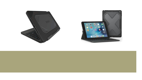



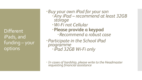**Different** iPads, and funding – your options

- *Buy your own iPad for your son Any iPad – recommend at least 32GB storage*
	- *Wi-Fi not Cellular*
	- **Please provide a keypad**
		- *Recommend a robust case*
- *Participate in the School iPad programme iPad 32GB Wi-Fi only*

 *In cases of hardship, please write to the Headmaster requesting financial assistance*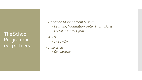The School Programme – our partners

 *Donation Management System Learning Foundation: Peter Thorn-Davis Portal (new this year)*

*iPads*

*Jigsaw24:* 

*Insurance*

*Compucover*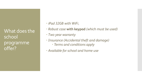What does the school programme offer?

*iPad 32GB with WiFi,* 

- *Robust case* **with keypad** *(which must be used)*
- *Two year warranty*
- *Insurance (Accidental theft and damage) Terms and conditions apply*
- *Available for school and home use*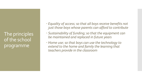The principles of the school programme

- *Equality of access; so that all boys receive benefits not just those boys whose parents can afford to contribute*
- *Sustainability of funding; so that the equipment can be maintained and replaced in future years*
- *Home use; so that boys can use the technology to extend to the home and family the learning that teachers provide in the classroom*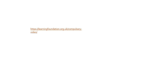[https://learningfoundation.org.uk/compulsory](https://learningfoundation.org.uk/compulsory-video/)video/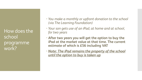How does the school programme work?

- *You make a monthly or upfront donation to the school (via The Learning Foundation)*
- *Your son gets use of an iPad, at home and at school, for two years*
- **After two years you will get the option to buy the iPad at the market value at that time. The current estimate of which is £56 including VAT**
- *Note: The iPad remains the property of the school until the option to buy is taken up*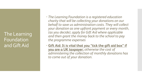The Learning Foundation and Gift Aid

- *The Learning Foundation is a registered education charity that will be collecting your donations on our behalf to save us administration costs. They will collect your donation as one upfront payment or every month, (as you decide), apply for Gift Aid where applicable and then grant the money back to the school to pay the programme expenses*
- **Gift Aid: It is vital that you "tick the gift aid box" if you are a UK taxpayer;** *otherwise the cost of administering the collection of monthly donations has to come out of your donation.*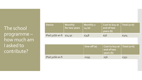The school programme – how much am I asked to contribute?

| <b>Device</b>   | <b>Monthly</b><br>for two years | Monthly x<br>24(a) | Cost to buy at<br>end of two<br>years (b) | Total (a+b) |
|-----------------|---------------------------------|--------------------|-------------------------------------------|-------------|
| IPad 32Gb wi-fi | £14.50                          | £348               | £56                                       | £404        |
|                 |                                 |                    |                                           |             |
|                 |                                 | One-off (a)        | Cost to buy at<br>end of two<br>years (b) | Total (a+b) |
| IPad 32Gb wi-fi |                                 | £295               | £56                                       | £351        |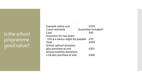Is the school programme good value?

| Example online cost             | £319                       |  |  |  |
|---------------------------------|----------------------------|--|--|--|
| 2 year warranty                 | <b>Guarantee included?</b> |  |  |  |
| Case                            | £40                        |  |  |  |
| Insurance for two years:        |                            |  |  |  |
| £35 p.a excess might be payable | £70                        |  |  |  |
| Total                           | £429                       |  |  |  |
| School upfront donation         |                            |  |  |  |
| plus purchase at end            | £351                       |  |  |  |
| <b>School monthly donations</b> |                            |  |  |  |
| x 24 plus purchase at end       | £404                       |  |  |  |
|                                 |                            |  |  |  |

**iPad 32GB wi-fi**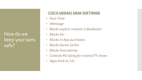How do we keep your sons safe?

#### **CISCO MERAKI MDM SOFTWARE**

- *Face Time*
- *iMessage*
- *Blocks explicit content in Bookstore*
- *Blocks Siri*
- *Blocks in App purchases*
- *Blocks Game Centre*
- *Blocks host pairing*
- *Controls PG rating for movies/TV shows*
- *Apps limit to 12+*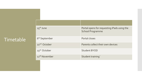## Timetable

| 25 <sup>th</sup> June     | Portal opens for requesting iPads using the<br><b>School Programme</b> |
|---------------------------|------------------------------------------------------------------------|
| 6 <sup>th</sup> September | Portal closes                                                          |
| 22 <sup>nd</sup> October  | Parents collect their own devices                                      |
| 23rd October              | <b>Student BYOD</b>                                                    |
| 12 <sup>th</sup> November | Student training                                                       |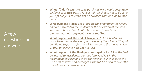A few questions and answers

- **What if I don't want to take part?** *While we would encourage all families to take part, it is your right to choose not to do so. If you opt out your child will not be provided with an iPad to take home*
- **Who owns the iPads?** *The iPads are the property of the school and are provided to the students at the discretion of the school. Your contribution is a charitable donation towards the programme, not a payment towards the iPad.*
- **What happens at the end of two years?** *The school has no*  plans to retain the devices after the end of the scheme. They will *be offered to parents for a small fee linked to the market value at that time in line with Gift Aid rules*
- **What happens if the iPad gets damaged or lost?** *The iPad will be insured for accidental damage (provided it is in the recommended case) and theft. However, if your child loses the iPad or is careless and damages it you will be asked to cover the cost of repair or replacement*